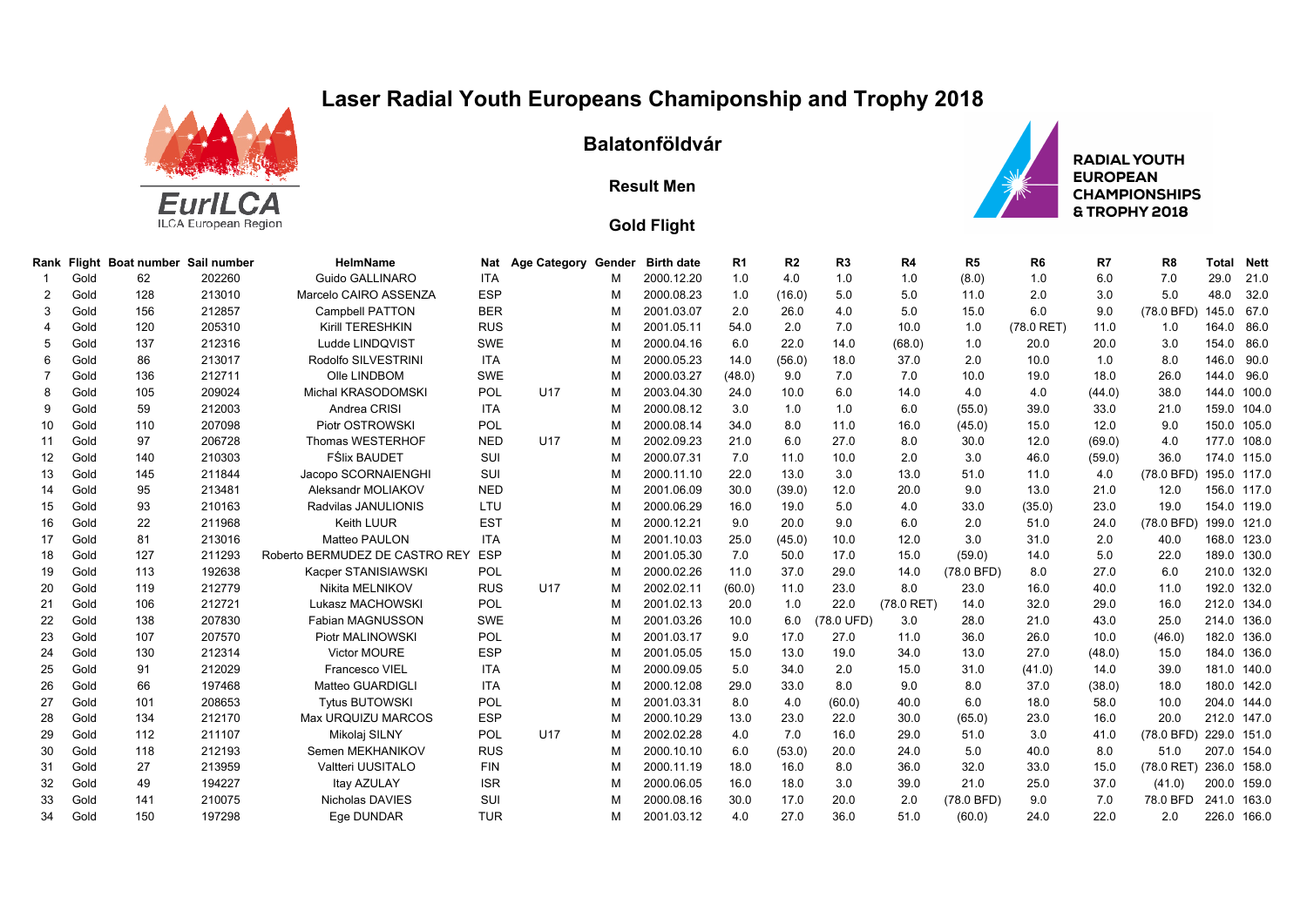## **Laser Radial Youth Europeans Chamiponship and Trophy 2018**



## **Balatonföldvár**

## **Result Men**



## **Gold Flight**

| Rank              |      | Flight Boat number Sail number |        | <b>HelmName</b>                | Nat        | <b>Age Category Gender</b> |   | <b>Birth date</b> | R <sub>1</sub> | R <sub>2</sub> | R3         | R <sub>4</sub> | R <sub>5</sub> | R <sub>6</sub> | R7     | R <sub>8</sub> | Total       | <b>Nett</b> |
|-------------------|------|--------------------------------|--------|--------------------------------|------------|----------------------------|---|-------------------|----------------|----------------|------------|----------------|----------------|----------------|--------|----------------|-------------|-------------|
|                   | Gold | 62                             | 202260 | Guido GALLINARO                | <b>ITA</b> |                            | м | 2000.12.20        | 1.0            | 4.0            | 1.0        | 1.0            | (8.0)          | 1.0            | 6.0    | 7.0            | 29.0        | 21.0        |
| 2                 | Gold | 128                            | 213010 | Marcelo CAIRO ASSENZA          | <b>ESP</b> |                            | M | 2000.08.23        | 1.0            | (16.0)         | 5.0        | 5.0            | 11.0           | 2.0            | 3.0    | 5.0            | 48.0        | 32.0        |
| 3                 | Gold | 156                            | 212857 | <b>Campbell PATTON</b>         | <b>BER</b> |                            | м | 2001.03.07        | 2.0            | 26.0           | 4.0        | 5.0            | 15.0           | 6.0            | 9.0    | (78.0 BFD)     | 145.0       | 67.0        |
|                   | Gold | 120                            | 205310 | Kirill TERESHKIN               | <b>RUS</b> |                            | M | 2001.05.11        | 54.0           | 2.0            | 7.0        | 10.0           | 1.0            | $(78.0$ RET)   | 11.0   | 1.0            | 164.0       | 86.0        |
|                   | Gold | 137                            | 212316 | Ludde LINDQVIST                | SWE        |                            | М | 2000.04.16        | 6.0            | 22.0           | 14.0       | (68.0)         | 1.0            | 20.0           | 20.0   | 3.0            | 154.0       | 86.0        |
|                   | Gold | 86                             | 213017 | Rodolfo SILVESTRINI            | <b>ITA</b> |                            | M | 2000.05.23        | 14.0           | (56.0)         | 18.0       | 37.0           | 2.0            | 10.0           | 1.0    | 8.0            | 146.0       | 90.0        |
|                   | Gold | 136                            | 212711 | Olle LINDBOM                   | SWE        |                            | M | 2000.03.27        | (48.0)         | 9.0            | 7.0        | 7.0            | 10.0           | 19.0           | 18.0   | 26.0           | 144.0       | 96.0        |
|                   | Gold | 105                            | 209024 | Michal KRASODOMSKI             | POL        | U17                        | M | 2003.04.30        | 24.0           | 10.0           | 6.0        | 14.0           | 4.0            | 4.0            | (44.0) | 38.0           | 144.0       | 100.0       |
| 9                 | Gold | 59                             | 212003 | Andrea CRISI                   | <b>ITA</b> |                            | M | 2000.08.12        | 3.0            | 1.0            | 1.0        | 6.0            | (55.0)         | 39.0           | 33.0   | 21.0           | 159.0       | 104.0       |
| 10                | Gold | 110                            | 207098 | Piotr OSTROWSKI                | POL        |                            | M | 2000.08.14        | 34.0           | 8.0            | 11.0       | 16.0           | (45.0)         | 15.0           | 12.0   | 9.0            | 150.0       | 105.0       |
| 11                | Gold | 97                             | 206728 | Thomas WESTERHOF               | <b>NED</b> | <b>U17</b>                 | M | 2002.09.23        | 21.0           | 6.0            | 27.0       | 8.0            | 30.0           | 12.0           | (69.0) | 4.0            | 177.0       | 108.0       |
| $12 \overline{ }$ | Gold | 140                            | 210303 | <b>FŚlix BAUDET</b>            | SUI        |                            | м | 2000.07.31        | 7.0            | 11.0           | 10.0       | 2.0            | 3.0            | 46.0           | (59.0) | 36.0           |             | 174.0 115.0 |
| 13                | Gold | 145                            | 211844 | Jacopo SCORNAIENGHI            | SUI        |                            | М | 2000.11.10        | 22.0           | 13.0           | 3.0        | 13.0           | 51.0           | 11.0           | 4.0    | (78.0 BFD)     |             | 195.0 117.0 |
| 14                | Gold | 95                             | 213481 | Aleksandr MOLIAKOV             | <b>NED</b> |                            | м | 2001.06.09        | 30.0           | (39.0)         | 12.0       | 20.0           | 9.0            | 13.0           | 21.0   | 12.0           |             | 156.0 117.0 |
| 15                | Gold | 93                             | 210163 | Radvilas JANULIONIS            | LTU        |                            | м | 2000.06.29        | 16.0           | 19.0           | 5.0        | 4.0            | 33.0           | (35.0)         | 23.0   | 19.0           |             | 154.0 119.0 |
| 16                | Gold | 22                             | 211968 | <b>Keith LUUR</b>              | <b>EST</b> |                            | M | 2000.12.21        | 9.0            | 20.0           | 9.0        | 6.0            | 2.0            | 51.0           | 24.0   | (78.0 BFD)     |             | 199.0 121.0 |
| 17                | Gold | 81                             | 213016 | <b>Matteo PAULON</b>           | <b>ITA</b> |                            | м | 2001.10.03        | 25.0           | (45.0)         | 10.0       | 12.0           | 3.0            | 31.0           | 2.0    | 40.0           |             | 168.0 123.0 |
| 18                | Gold | 127                            | 211293 | Roberto BERMUDEZ DE CASTRO REY | <b>ESP</b> |                            | м | 2001.05.30        | 7.0            | 50.0           | 17.0       | 15.0           | (59.0)         | 14.0           | 5.0    | 22.0           |             | 189.0 130.0 |
| 19                | Gold | 113                            | 192638 | Kacper STANISIAWSKI            | POL        |                            | M | 2000.02.26        | 11.0           | 37.0           | 29.0       | 14.0           | (78.0 BFD)     | 8.0            | 27.0   | 6.0            |             | 210.0 132.0 |
| 20                | Gold | 119                            | 212779 | Nikita MELNIKOV                | <b>RUS</b> | U17                        | M | 2002.02.11        | (60.0)         | 11.0           | 23.0       | 8.0            | 23.0           | 16.0           | 40.0   | 11.0           | 192.0       | 132.0       |
| 21                | Gold | 106                            | 212721 | Lukasz MACHOWSKI               | POL        |                            | м | 2001.02.13        | 20.0           | 1.0            | 22.0       | $(78.0$ RET)   | 14.0           | 32.0           | 29.0   | 16.0           | 212.0       | 134.0       |
| 22                | Gold | 138                            | 207830 | Fabian MAGNUSSON               | SWE        |                            | м | 2001.03.26        | 10.0           | 6.0            | (78.0 UFD) | 3.0            | 28.0           | 21.0           | 43.0   | 25.0           | 214.0       | 136.0       |
| 23                | Gold | 107                            | 207570 | Piotr MALINOWSKI               | POL        |                            | M | 2001.03.17        | 9.0            | 17.0           | 27.0       | 11.0           | 36.0           | 26.0           | 10.0   | (46.0)         | 182.0       | 136.0       |
| 24                | Gold | 130                            | 212314 | Victor MOURE                   | <b>ESP</b> |                            | M | 2001.05.05        | 15.0           | 13.0           | 19.0       | 34.0           | 13.0           | 27.0           | (48.0) | 15.0           |             | 184.0 136.0 |
| 25                | Gold | 91                             | 212029 | Francesco VIEL                 | <b>ITA</b> |                            | м | 2000.09.05        | 5.0            | 34.0           | 2.0        | 15.0           | 31.0           | (41.0)         | 14.0   | 39.0           | 181.0       | 140.0       |
| 26                | Gold | 66                             | 197468 | Matteo GUARDIGLI               | <b>ITA</b> |                            | м | 2000.12.08        | 29.0           | 33.0           | 8.0        | 9.0            | 8.0            | 37.0           | (38.0) | 18.0           | 180.0       | 142.0       |
| 27                | Gold | 101                            | 208653 | <b>Tytus BUTOWSKI</b>          | POL        |                            | м | 2001.03.31        | 8.0            | 4.0            | (60.0)     | 40.0           | 6.0            | 18.0           | 58.0   | 10.0           |             | 204.0 144.0 |
| 28                | Gold | 134                            | 212170 | Max URQUIZU MARCOS             | <b>ESP</b> |                            | M | 2000.10.29        | 13.0           | 23.0           | 22.0       | 30.0           | (65.0)         | 23.0           | 16.0   | 20.0           | 212.0       | 147.0       |
| 29                | Gold | 112                            | 211107 | Mikolaj SILNY                  | POL        | <b>U17</b>                 | м | 2002.02.28        | 4.0            | 7.0            | 16.0       | 29.0           | 51.0           | 3.0            | 41.0   | (78.0 BFD)     | 229.0 151.0 |             |
| 30                | Gold | 118                            | 212193 | Semen MEKHANIKOV               | <b>RUS</b> |                            | м | 2000.10.10        | 6.0            | (53.0)         | 20.0       | 24.0           | 5.0            | 40.0           | 8.0    | 51.0           | 207.0       | 154.0       |
| 31                | Gold | 27                             | 213959 | Valtteri UUSITALO              | <b>FIN</b> |                            | м | 2000.11.19        | 18.0           | 16.0           | 8.0        | 36.0           | 32.0           | 33.0           | 15.0   | $(78.0$ RET)   | 236.0 158.0 |             |
| 32                | Gold | 49                             | 194227 | Itay AZULAY                    | <b>ISR</b> |                            | M | 2000.06.05        | 16.0           | 18.0           | 3.0        | 39.0           | 21.0           | 25.0           | 37.0   | (41.0)         |             | 200.0 159.0 |
| 33                | Gold | 141                            | 210075 | Nicholas DAVIES                | SUI        |                            | м | 2000.08.16        | 30.0           | 17.0           | 20.0       | 2.0            | (78.0 BFD)     | 9.0            | 7.0    | 78.0 BFD       | 241.0       | 163.0       |
| 34                | Gold | 150                            | 197298 | Ege DUNDAR                     | <b>TUR</b> |                            | м | 2001.03.12        | 4.0            | 27.0           | 36.0       | 51.0           | (60.0)         | 24.0           | 22.0   | 2.0            |             | 226.0 166.0 |
|                   |      |                                |        |                                |            |                            |   |                   |                |                |            |                |                |                |        |                |             |             |